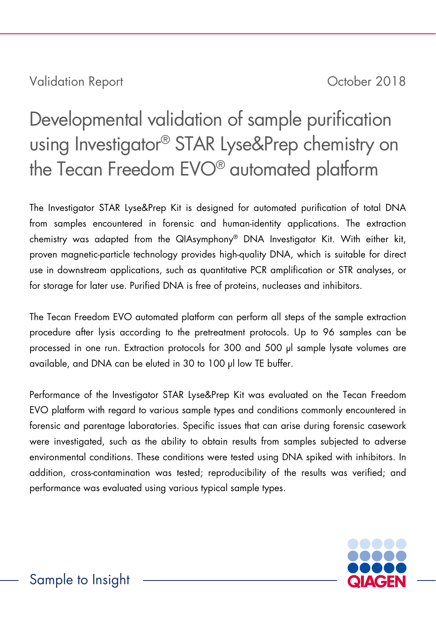Validation Report **Validation Report** 2018

# Developmental validation of sample purification using Investigator® STAR Lyse&Prep chemistry on the Tecan Freedom EVO® automated platform

The Investigator STAR Lyse&Prep Kit is designed for automated purification of total DNA from samples encountered in forensic and human-identity applications. The extraction chemistry was adapted from the QIAsymphony® DNA Investigator Kit. With either kit, proven magnetic-particle technology provides high-quality DNA, which is suitable for direct use in downstream applications, such as quantitative PCR amplification or STR analyses, or for storage for later use. Purified DNA is free of proteins, nucleases and inhibitors.

The Tecan Freedom EVO automated platform can perform all steps of the sample extraction procedure after lysis according to the pretreatment protocols. Up to 96 samples can be processed in one run. Extraction protocols for 300 and 500 μl sample lysate volumes are available, and DNA can be eluted in 30 to 100 μl low TE buffer.

Performance of the Investigator STAR Lyse&Prep Kit was evaluated on the Tecan Freedom EVO platform with regard to various sample types and conditions commonly encountered in forensic and parentage laboratories. Specific issues that can arise during forensic casework were investigated, such as the ability to obtain results from samples subjected to adverse environmental conditions. These conditions were tested using DNA spiked with inhibitors. In addition, cross-contamination was tested; reproducibility of the results was verified; and performance was evaluated using various typical sample types.

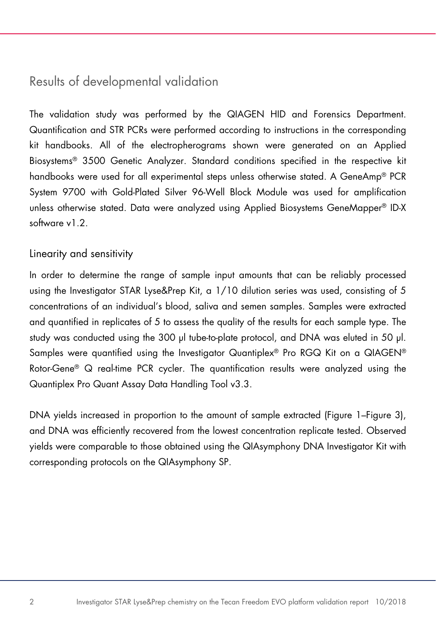## Results of developmental validation

The validation study was performed by the QIAGEN HID and Forensics Department. Quantification and STR PCRs were performed according to instructions in the corresponding kit handbooks. All of the electropherograms shown were generated on an Applied Biosystems® 3500 Genetic Analyzer. Standard conditions specified in the respective kit handbooks were used for all experimental steps unless otherwise stated. A GeneAmp® PCR System 9700 with Gold-Plated Silver 96-Well Block Module was used for amplification unless otherwise stated. Data were analyzed using Applied Biosystems GeneMapper® ID-X software v1.2.

#### Linearity and sensitivity

In order to determine the range of sample input amounts that can be reliably processed using the Investigator STAR Lyse&Prep Kit, a 1/10 dilution series was used, consisting of 5 concentrations of an individual's blood, saliva and semen samples. Samples were extracted and quantified in replicates of 5 to assess the quality of the results for each sample type. The study was conducted using the 300 μl tube-to-plate protocol, and DNA was eluted in 50 μl. Samples were quantified using the Investigator Quantiplex® Pro RGQ Kit on a QIAGEN® Rotor-Gene® Q real-time PCR cycler. The quantification results were analyzed using the Quantiplex Pro Quant Assay Data Handling Tool v3.3.

DNA yields increased in proportion to the amount of sample extracted [\(Figure 1](#page-2-0)[–Figure 3\)](#page-3-0), and DNA was efficiently recovered from the lowest concentration replicate tested. Observed yields were comparable to those obtained using the QIAsymphony DNA Investigator Kit with corresponding protocols on the QIAsymphony SP.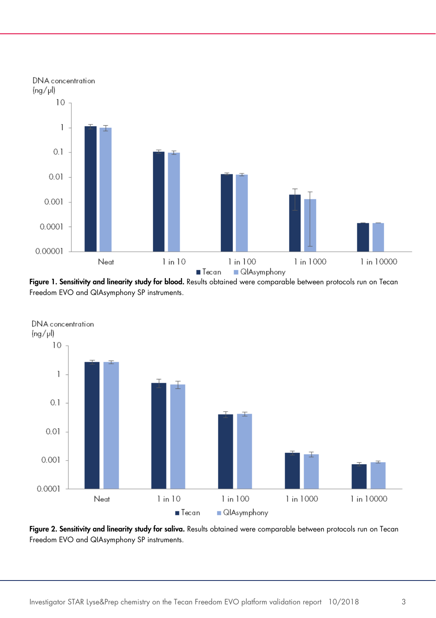

<span id="page-2-0"></span>Figure 1. Sensitivity and linearity study for blood. Results obtained were comparable between protocols run on Tecan Freedom EVO and QIAsymphony SP instruments.



Figure 2. Sensitivity and linearity study for saliva. Results obtained were comparable between protocols run on Tecan Freedom EVO and QIAsymphony SP instruments.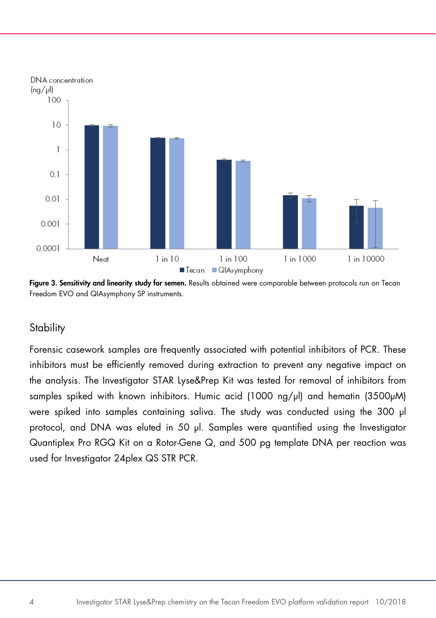

<span id="page-3-0"></span>Figure 3. Sensitivity and linearity study for semen. Results obtained were comparable between protocols run on Tecan Freedom EVO and QIAsymphony SP instruments.

### **Stability**

Forensic casework samples are frequently associated with potential inhibitors of PCR. These inhibitors must be efficiently removed during extraction to prevent any negative impact on the analysis. The Investigator STAR Lyse&Prep Kit was tested for removal of inhibitors from samples spiked with known inhibitors. Humic acid (1000 ng/µl) and hematin (3500µM) were spiked into samples containing saliva. The study was conducted using the 300 μl protocol, and DNA was eluted in 50 μl. Samples were quantified using the Investigator Quantiplex Pro RGQ Kit on a Rotor-Gene Q, and 500 pg template DNA per reaction was used for Investigator 24plex QS STR PCR.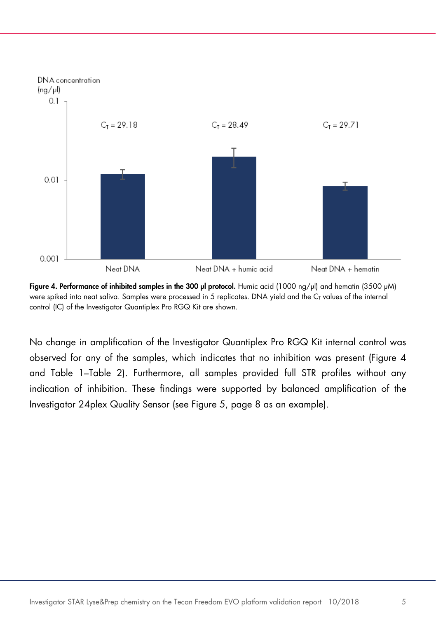

<span id="page-4-0"></span>Figure 4. Performance of inhibited samples in the 300 ul protocol. Humic acid (1000 ng/ul) and hematin (3500 uM) were spiked into neat saliva. Samples were processed in 5 replicates. DNA yield and the C<sub>T</sub> values of the internal control (IC) of the Investigator Quantiplex Pro RGQ Kit are shown.

<span id="page-4-1"></span>No change in amplification of the Investigator Quantiplex Pro RGQ Kit internal control was observed for any of the samples, which indicates that no inhibition was present [\(Figure 4](#page-4-0) and [Table 1](#page-4-1)[–Table 2\)](#page-5-0). Furthermore, all samples provided full STR profiles without any indication of inhibition. These findings were supported by balanced amplification of the Investigator 24plex Quality Sensor (see [Figure 5,](#page-7-0) page [8](#page-7-0) as an example).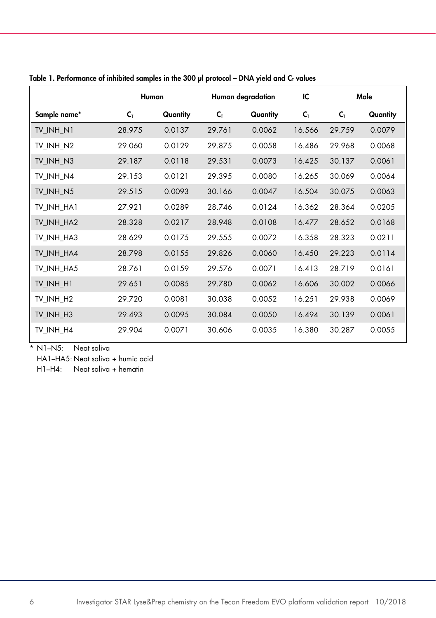|                       | Human  |          | Human degradation |          | IC     | Male           |          |
|-----------------------|--------|----------|-------------------|----------|--------|----------------|----------|
| Sample name*          | Cт     | Quantity | C <sub>T</sub>    | Quantity | $C_T$  | $C_{\text{T}}$ | Quantity |
| TV INH N1             | 28.975 | 0.0137   | 29.761            | 0.0062   | 16.566 | 29.759         | 0.0079   |
| TV INH N2             | 29.060 | 0.0129   | 29.875            | 0.0058   | 16.486 | 29.968         | 0.0068   |
| TV INH N3             | 29.187 | 0.0118   | 29.531            | 0.0073   | 16.425 | 30.137         | 0.0061   |
| TV INH N4             | 29.153 | 0.0121   | 29.395            | 0.0080   | 16.265 | 30.069         | 0.0064   |
| TV INH N5             | 29.515 | 0.0093   | 30.166            | 0.0047   | 16.504 | 30.075         | 0.0063   |
| TV INH HA1            | 27.921 | 0.0289   | 28.746            | 0.0124   | 16.362 | 28.364         | 0.0205   |
| TV INH HA2            | 28.328 | 0.0217   | 28.948            | 0.0108   | 16.477 | 28.652         | 0.0168   |
| TV_INH_HA3            | 28.629 | 0.0175   | 29.555            | 0.0072   | 16.358 | 28.323         | 0.0211   |
| TV_INH_HA4            | 28.798 | 0.0155   | 29.826            | 0.0060   | 16.450 | 29.223         | 0.0114   |
| TV_INH_HA5            | 28.761 | 0.0159   | 29.576            | 0.0071   | 16.413 | 28.719         | 0.0161   |
| TV_INH_H1             | 29.651 | 0.0085   | 29.780            | 0.0062   | 16.606 | 30.002         | 0.0066   |
| TV INH H <sub>2</sub> | 29.720 | 0.0081   | 30.038            | 0.0052   | 16.251 | 29.938         | 0.0069   |
| TV_INH_H3             | 29.493 | 0.0095   | 30.084            | 0.0050   | 16.494 | 30.139         | 0.0061   |
| TV INH H4             | 29.904 | 0.0071   | 30.606            | 0.0035   | 16.380 | 30.287         | 0.0055   |

Table 1. Performance of inhibited samples in the 300  $\mu$  protocol – DNA yield and C<sub>T</sub> values

\* N1–N5: Neat saliva

HA1–HA5: Neat saliva + humic acid

<span id="page-5-0"></span>H1–H4: Neat saliva + hematin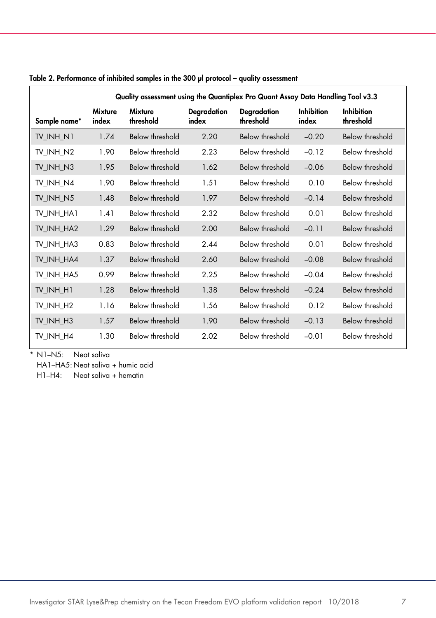| Quality assessment using the Quantiplex Pro Quant Assay Data Handling Tool v3.3 |                  |                             |                      |                          |                            |                                |
|---------------------------------------------------------------------------------|------------------|-----------------------------|----------------------|--------------------------|----------------------------|--------------------------------|
| Sample name*                                                                    | Mixture<br>index | <b>Mixture</b><br>threshold | Degradation<br>index | Degradation<br>threshold | <b>Inhibition</b><br>index | <b>Inhibition</b><br>threshold |
| TV INH N1                                                                       | 1.74             | Below threshold             | 2.20                 | Below threshold          | $-0.20$                    | Below threshold                |
| TV INH N2                                                                       | 1.90             | Below threshold             | 2.23                 | Below threshold          | $-0.12$                    | Below threshold                |
| TV INH N3                                                                       | 1.95             | Below threshold             | 1.62                 | Below threshold          | $-0.06$                    | Below threshold                |
| TV INH N4                                                                       | 1.90             | Below threshold             | 1.51                 | Below threshold          | 0.10                       | Below threshold                |
| TV INH N5                                                                       | 1.48             | Below threshold             | 1.97                 | Below threshold          | $-0.14$                    | Below threshold                |
| TV INH HA1                                                                      | 1.41             | Below threshold             | 2.32                 | Below threshold          | 0.01                       | <b>Below threshold</b>         |
| TV INH HA2                                                                      | 1.29             | Below threshold             | 2.00                 | <b>Below threshold</b>   | $-0.11$                    | Below threshold                |
| TV INH HA3                                                                      | 0.83             | Below threshold             | 2.44                 | Below threshold          | 0.01                       | Below threshold                |
| TV INH HA4                                                                      | 1.37             | <b>Below threshold</b>      | 2.60                 | Below threshold          | $-0.08$                    | Below threshold                |
| TV INH HA5                                                                      | 0.99             | Below threshold             | 2.25                 | Below threshold          | $-0.04$                    | Below threshold                |
| TV_INH_H1                                                                       | 1.28             | <b>Below threshold</b>      | 1.38                 | <b>Below threshold</b>   | $-0.24$                    | Below threshold                |
| TV INH H <sub>2</sub>                                                           | 1.16             | Below threshold             | 1.56                 | Below threshold          | 0.12                       | Below threshold                |
| TV INH H3                                                                       | 1.57             | Below threshold             | 1.90                 | Below threshold          | $-0.13$                    | Below threshold                |
| TV INH H4                                                                       | 1.30             | Below threshold             | 2.02                 | Below threshold          | $-0.01$                    | Below threshold                |

| Table 2. Performance of inhibited samples in the 300 µl protocol – quality assessment |  |
|---------------------------------------------------------------------------------------|--|
|---------------------------------------------------------------------------------------|--|

\* N1–N5: Neat saliva

HA1–HA5: Neat saliva + humic acid

H1–H4: Neat saliva + hematin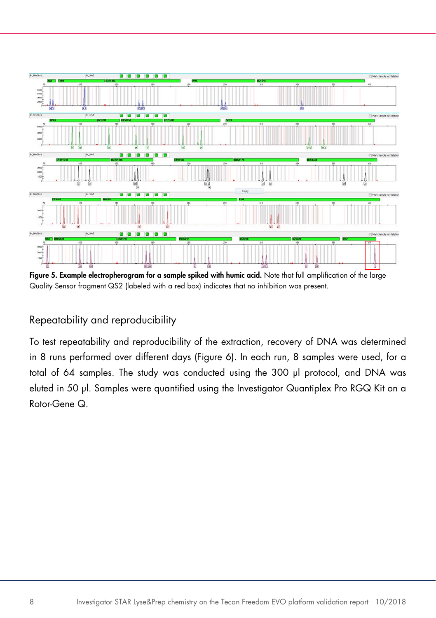

<span id="page-7-0"></span>Figure 5. Example electropherogram for a sample spiked with humic acid. Note that full amplification of the large Quality Sensor fragment QS2 (labeled with a red box) indicates that no inhibition was present.

## Repeatability and reproducibility

To test repeatability and reproducibility of the extraction, recovery of DNA was determined in 8 runs performed over different days [\(Figure 6\)](#page-8-0). In each run, 8 samples were used, for a total of 64 samples. The study was conducted using the 300 μl protocol, and DNA was eluted in 50 μl. Samples were quantified using the Investigator Quantiplex Pro RGQ Kit on a Rotor-Gene Q.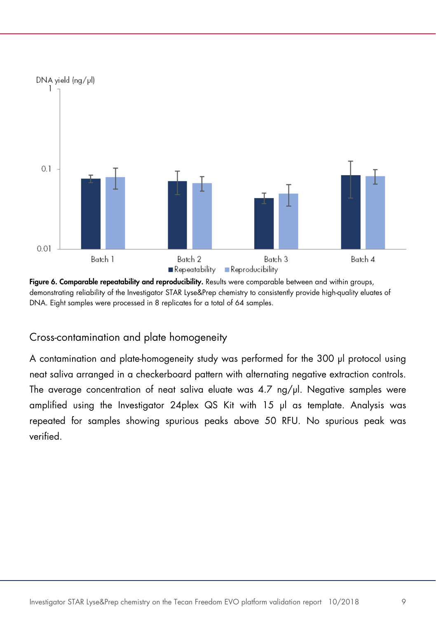

<span id="page-8-0"></span>Figure 6. Comparable repeatability and reproducibility. Results were comparable between and within groups, demonstrating reliability of the Investigator STAR Lyse&Prep chemistry to consistently provide high-quality eluates of DNA. Eight samples were processed in 8 replicates for a total of 64 samples.

Cross-contamination and plate homogeneity

A contamination and plate-homogeneity study was performed for the 300 μl protocol using neat saliva arranged in a checkerboard pattern with alternating negative extraction controls. The average concentration of neat saliva eluate was 4.7 ng/μl. Negative samples were amplified using the Investigator 24plex QS Kit with 15 μl as template. Analysis was repeated for samples showing spurious peaks above 50 RFU. No spurious peak was verified.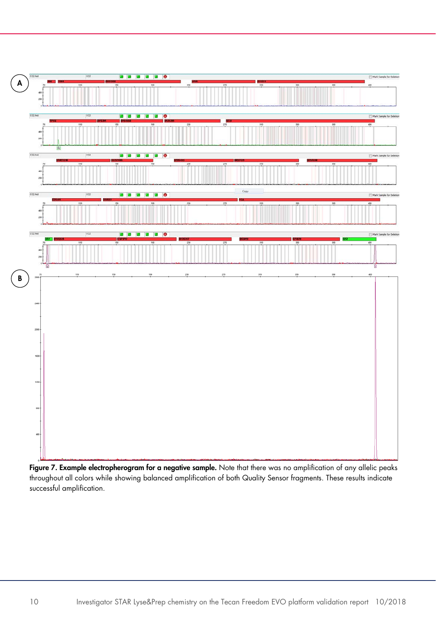

Figure 7. Example electropherogram for a negative sample. Note that there was no amplification of any allelic peaks throughout all colors while showing balanced amplification of both Quality Sensor fragments. These results indicate successful amplification.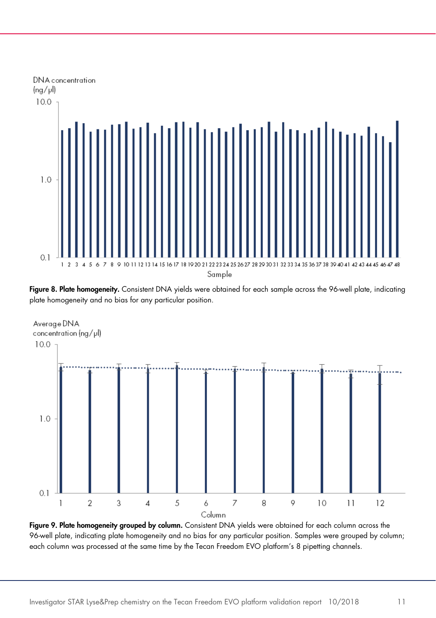

Figure 8. Plate homogeneity. Consistent DNA yields were obtained for each sample across the 96-well plate, indicating plate homogeneity and no bias for any particular position.



Figure 9. Plate homogeneity grouped by column. Consistent DNA yields were obtained for each column across the 96-well plate, indicating plate homogeneity and no bias for any particular position. Samples were grouped by column; each column was processed at the same time by the Tecan Freedom EVO platform's 8 pipetting channels.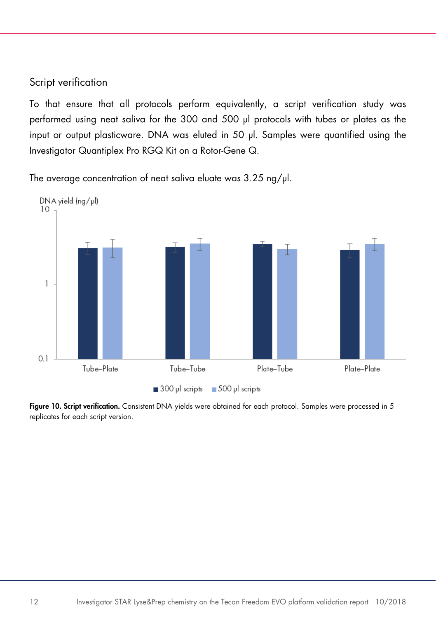#### Script verification

To that ensure that all protocols perform equivalently, a script verification study was performed using neat saliva for the 300 and 500 μl protocols with tubes or plates as the input or output plasticware. DNA was eluted in 50 μl. Samples were quantified using the Investigator Quantiplex Pro RGQ Kit on a Rotor-Gene Q.

The average concentration of neat saliva eluate was 3.25 ng/ul.



Figure 10. Script verification. Consistent DNA yields were obtained for each protocol. Samples were processed in 5 replicates for each script version.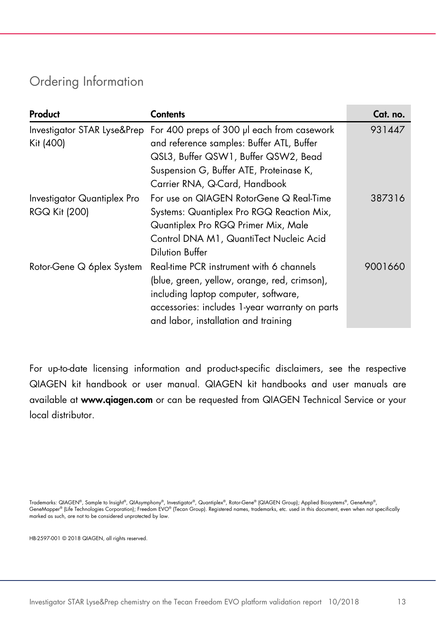# Ordering Information

| Product                     | Contents                                                               | Cat. no. |
|-----------------------------|------------------------------------------------------------------------|----------|
|                             | Investigator STAR Lyse&Prep For 400 preps of 300 µl each from casework | 931447   |
| Kit (400)                   | and reference samples: Buffer ATL, Buffer                              |          |
|                             | QSL3, Buffer QSW1, Buffer QSW2, Bead                                   |          |
|                             | Suspension G, Buffer ATE, Proteinase K,                                |          |
|                             | Carrier RNA, Q-Card, Handbook                                          |          |
| Investigator Quantiplex Pro | For use on QIAGEN RotorGene Q Real-Time                                | 387316   |
| <b>RGQ Kit (200)</b>        | Systems: Quantiplex Pro RGQ Reaction Mix,                              |          |
|                             | Quantiplex Pro RGQ Primer Mix, Male                                    |          |
|                             | Control DNA M1, QuantiTect Nucleic Acid                                |          |
|                             | Dilution Buffer                                                        |          |
| Rotor-Gene Q 6plex System   | Real-time PCR instrument with 6 channels                               | 9001660  |
|                             | (blue, green, yellow, orange, red, crimson),                           |          |
|                             | including laptop computer, software,                                   |          |
|                             | accessories: includes 1-year warranty on parts                         |          |
|                             | and labor, installation and training                                   |          |

For up-to-date licensing information and product-specific disclaimers, see the respective QIAGEN kit handbook or user manual. QIAGEN kit handbooks and user manuals are available at www.qiagen.com or can be requested from QIAGEN Technical Service or your local distributor.

Trademarks: QIAGEN®, Sample to Insight®, QIAsymphony®, Investigator®, Quantiplex®, Rotor-Gene® (QIAGEN Group); Applied Biosystems®, GeneAmp®, GeneMapper® (Life Technologies Corporation); Freedom EVO® (Tecan Group). Registered names, trademarks, etc. used in this document, even when not specifically<br>marked as such, are not to be considered unprotected by law.

HB-2597-001 © 2018 QIAGEN, all rights reserved.